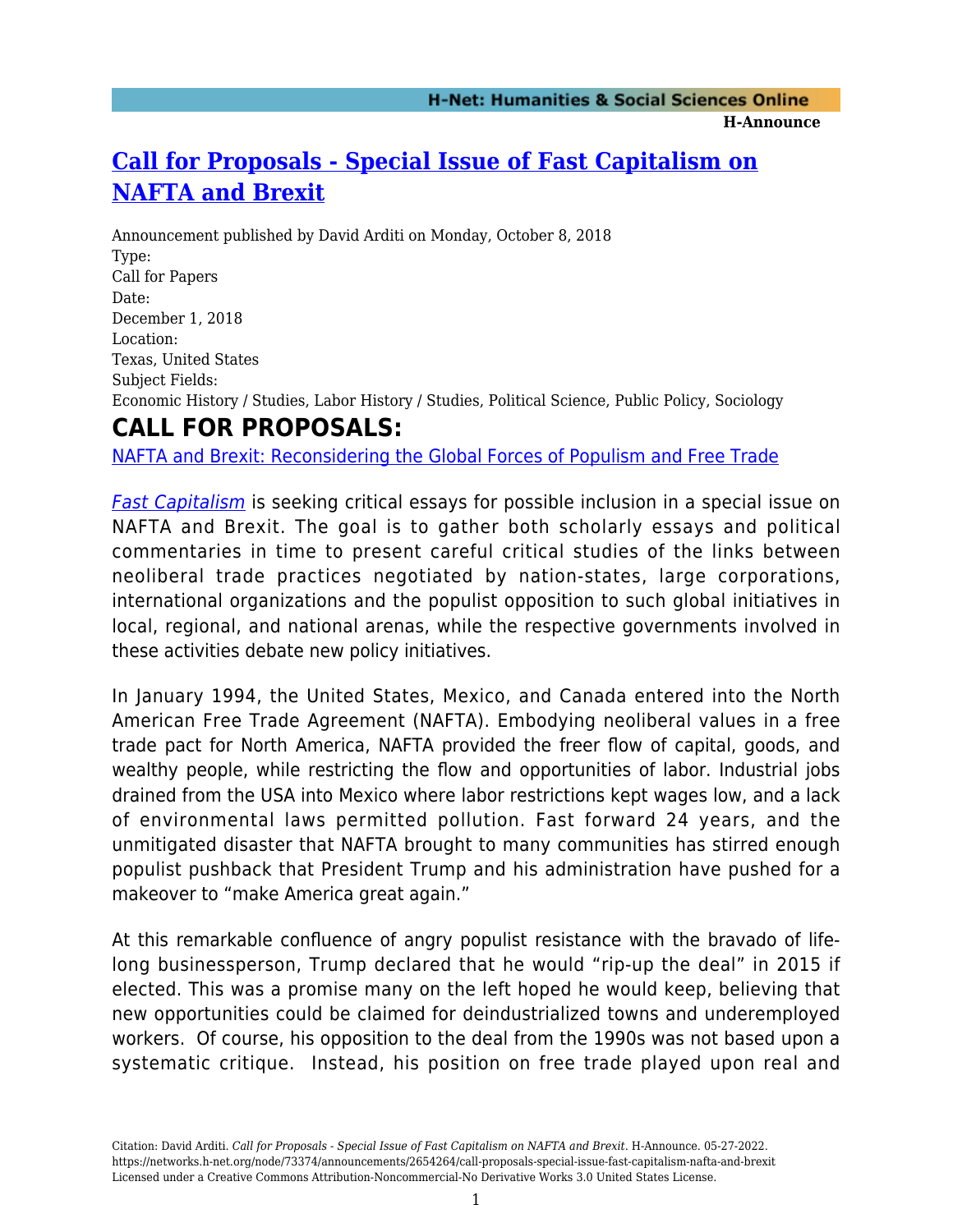## **H-Announce**

## **[Call for Proposals - Special Issue of Fast Capitalism on](https://networks.h-net.org/node/73374/announcements/2654264/call-proposals-special-issue-fast-capitalism-nafta-and-brexit) [NAFTA and Brexit](https://networks.h-net.org/node/73374/announcements/2654264/call-proposals-special-issue-fast-capitalism-nafta-and-brexit)**

Announcement published by David Arditi on Monday, October 8, 2018 Type: Call for Papers Date: December 1, 2018 Location: Texas, United States Subject Fields: Economic History / Studies, Labor History / Studies, Political Science, Public Policy, Sociology **CALL FOR PROPOSALS:**

[NAFTA and Brexit: Reconsidering the Global Forces of Populism and Free Trade](http://www.uta.edu/theory/docs/NAFTA-Brexit_FastCapitalism_Special-Issue-CFP.pdf)

[Fast Capitalism](http://fastcapitalism.com) is seeking critical essays for possible inclusion in a special issue on NAFTA and Brexit. The goal is to gather both scholarly essays and political commentaries in time to present careful critical studies of the links between neoliberal trade practices negotiated by nation-states, large corporations, international organizations and the populist opposition to such global initiatives in local, regional, and national arenas, while the respective governments involved in these activities debate new policy initiatives.

In January 1994, the United States, Mexico, and Canada entered into the North American Free Trade Agreement (NAFTA). Embodying neoliberal values in a free trade pact for North America, NAFTA provided the freer flow of capital, goods, and wealthy people, while restricting the flow and opportunities of labor. Industrial jobs drained from the USA into Mexico where labor restrictions kept wages low, and a lack of environmental laws permitted pollution. Fast forward 24 years, and the unmitigated disaster that NAFTA brought to many communities has stirred enough populist pushback that President Trump and his administration have pushed for a makeover to "make America great again."

At this remarkable confluence of angry populist resistance with the bravado of lifelong businessperson, Trump declared that he would "rip-up the deal" in 2015 if elected. This was a promise many on the left hoped he would keep, believing that new opportunities could be claimed for deindustrialized towns and underemployed workers. Of course, his opposition to the deal from the 1990s was not based upon a systematic critique. Instead, his position on free trade played upon real and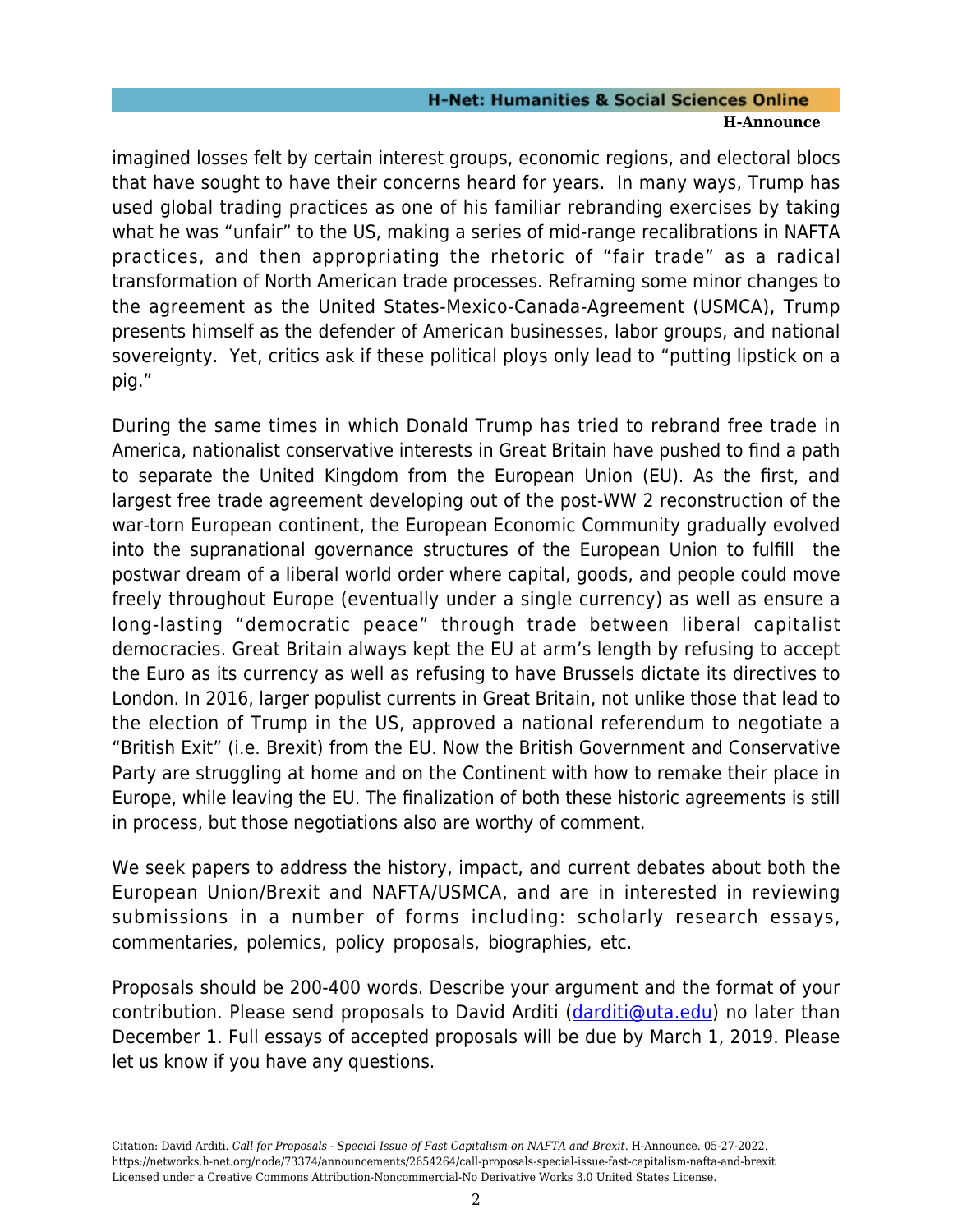## **H-Net: Humanities & Social Sciences Online H-Announce**

imagined losses felt by certain interest groups, economic regions, and electoral blocs that have sought to have their concerns heard for years. In many ways, Trump has used global trading practices as one of his familiar rebranding exercises by taking what he was "unfair" to the US, making a series of mid-range recalibrations in NAFTA practices, and then appropriating the rhetoric of "fair trade" as a radical transformation of North American trade processes. Reframing some minor changes to the agreement as the United States-Mexico-Canada-Agreement (USMCA), Trump presents himself as the defender of American businesses, labor groups, and national sovereignty. Yet, critics ask if these political ploys only lead to "putting lipstick on a pig."

During the same times in which Donald Trump has tried to rebrand free trade in America, nationalist conservative interests in Great Britain have pushed to find a path to separate the United Kingdom from the European Union (EU). As the first, and largest free trade agreement developing out of the post-WW 2 reconstruction of the war-torn European continent, the European Economic Community gradually evolved into the supranational governance structures of the European Union to fulfill the postwar dream of a liberal world order where capital, goods, and people could move freely throughout Europe (eventually under a single currency) as well as ensure a long-lasting "democratic peace" through trade between liberal capitalist democracies. Great Britain always kept the EU at arm's length by refusing to accept the Euro as its currency as well as refusing to have Brussels dictate its directives to London. In 2016, larger populist currents in Great Britain, not unlike those that lead to the election of Trump in the US, approved a national referendum to negotiate a "British Exit" (i.e. Brexit) from the EU. Now the British Government and Conservative Party are struggling at home and on the Continent with how to remake their place in Europe, while leaving the EU. The finalization of both these historic agreements is still in process, but those negotiations also are worthy of comment.

We seek papers to address the history, impact, and current debates about both the European Union/Brexit and NAFTA/USMCA, and are in interested in reviewing submissions in a number of forms including: scholarly research essays, commentaries, polemics, policy proposals, biographies, etc.

Proposals should be 200-400 words. Describe your argument and the format of your contribution. Please send proposals to David Arditi ([darditi@uta.edu\)](mailto:darditi@uta.edu) no later than December 1. Full essays of accepted proposals will be due by March 1, 2019. Please let us know if you have any questions.